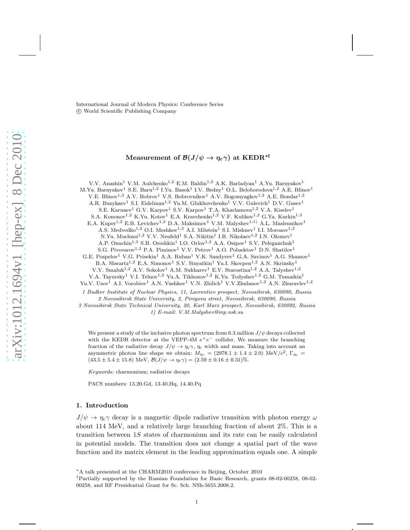International Journal of Modern Physics: Conference Series c World Scientific Publishing Company

# Measurement of  $\mathcal{B}(J/\psi \to \eta_{c}\gamma)$  at KEDR<sup>\*†</sup>

V.V. Anashin<sup>1</sup> V.M. Aulchenko<sup>1,2</sup> E.M. Baldin<sup>1,2</sup> A.K. Barladyan<sup>1</sup> A.Yu. Barnyakov<sup>1</sup> M.Yu. Barnyakov<sup>1</sup> S.E. Baru<sup>1,2</sup> I.Yu. Basok<sup>1</sup> I.V. Bedny<sup>1</sup> O.L. Beloborodova<sup>1,2</sup> A.E. Blinov<sup>1</sup> V.E. Blinov<sup>1,3</sup> A.V. Bobrov<sup>1</sup> V.S. Bobrovnikov<sup>1</sup> A.V. Bogomyagkov<sup>1,2</sup> A.E. Bondar<sup>1,2</sup> A.R. Buzykaev<sup>1</sup> S.I. Eidelman<sup>1,2</sup> Yu.M. Glukhovchenko<sup>1</sup> V.V. Gulevich<sup>1</sup> D.V. Gusev<sup>1</sup> S.E. Karnaev<sup>1</sup> G.V. Karpov<sup>1</sup> S.V. Karpov<sup>1</sup> T.A. Kharlamova<sup>1,2</sup> V.A. Kiselev<sup>1</sup> S.A. Kononov<sup>1,2</sup> K.Yu. Kotov<sup>1</sup> E.A. Kravchenko<sup>1,2</sup> V.F. Kulikov<sup>1,2</sup> G.Ya. Kurkin<sup>1,3</sup> E.A. Kuper $^{1,2}$ E.B. Levichev $^{1,3}$ D.A. Maksimov $^{1}$ V.M. Malyshev $^{1;1)}$ A.L. Maslennikov $^{1}$ A.S. Medvedko<sup>1,2</sup> O.I. Meshkov<sup>1,2</sup> A.I. Milstein<sup>1</sup> S.I. Mishnev<sup>1</sup> I.I. Morozov<sup>1,2</sup> N.Yu. Muchnoi<sup>1,2</sup> V.V. Neufeld<sup>1</sup> S.A. Nikitin<sup>1</sup> I.B. Nikolaev<sup>1,2</sup> I.N. Okunev<sup>1</sup> A.P. Onuchin<sup>1,3</sup> S.B. Oreshkin<sup>1</sup> I.O. Orlov<sup>1,2</sup> A.A. Osipov<sup>1</sup> S.V. Peleganchuk<sup>1</sup> S.G. Pivovarov<sup>1,3</sup> P.A. Piminov<sup>1</sup> V.V. Petrov<sup>1</sup> A.O. Poluektov<sup>1</sup> D.N. Shatilov<sup>1</sup> G.E. Pospelov<sup>1</sup> V.G. Prisekin<sup>1</sup> A.A. Ruban<sup>1</sup> V.K. Sandyrev<sup>1</sup> G.A. Savinov<sup>1</sup> A.G. Shamov<sup>1</sup> B.A. Shwartz<sup>1,2</sup> E.A. Simonov<sup>1</sup> S.V. Sinyatkin<sup>1</sup> Yu.I. Skovpen<sup>1,2</sup> A.N. Skrinsky<sup>1</sup> V.V. Smaluk<sup>1,2</sup> A.V. Sokolov<sup>1</sup> A.M. Sukharev<sup>1</sup> E.V. Starostina<sup>1,2</sup> A.A. Talyshev<sup>1,2</sup> V.A. Tayursky<sup>1</sup> V.I. Telnov<sup>1,2</sup> Yu.A. Tikhonov<sup>1,2</sup> K.Yu. Todyshev<sup>1,2</sup> G.M. Tumaikin<sup>1</sup>

Yu.V. Usov<sup>1</sup> A.I. Vorobiov<sup>1</sup> A.N. Yushkov<sup>1</sup> V.N. Zhilich<sup>1</sup> V.V.Zhulanov<sup>1,2</sup> A.N. Zhuravlev<sup>1,2</sup>

*1 Budker Institute of Nuclear Physics, 11, Lavrentiev prospect, Novosibirsk, 630090, Russia 2 Novosibirsk State University, 2, Pirogova street, Novosibirsk, 630090, Russia*

*3 Novosibirsk State Technical University, 20, Karl Marx prospect, Novosibirsk, 630092, Russia 1) E-mail: V.M.Malyshev@inp.nsk.su*

We present a study of the inclusive photon spectrum from 6.3 million  $J/\psi$  decays collected with the KEDR detector at the VEPP-4M  $e^+e^-$  collider. We measure the branching fraction of the radiative decay  $J/\psi \to \eta_c \gamma$ ,  $\eta_c$  width and mass. Taking into account an asymmetric photon line shape we obtain:  $M_{\eta_c} = (2978.1 \pm 1.4 \pm 2.0) \text{ MeV}/c^2$ ,  $\Gamma_{\eta_c} =$  $(43.5 \pm 5.4 \pm 15.8)$  MeV,  $\mathcal{B}(J/\psi \to \eta_c \gamma) = (2.59 \pm 0.16 \pm 0.31)\%$ .

*Keywords*: charmonium; radiative decays

PACS numbers: 13.20.Gd, 13.40.Hq, 14.40.Pq

### 1. Introduction

 $J/\psi \to \eta_c \gamma$  decay is a magnetic dipole radiative transition with photon energy  $\omega$ about 114 MeV, and a relatively large branching fraction of about 2%. This is a transition between 1S states of charmonium and its rate can be easily calculated in potential models. The transition does not change a spatial part of the wave function and its matrix element in the leading approximation equals one. A simple

<sup>∗</sup>A talk presented at the CHARM2010 conference in Beijing, October 2010

†Partially supported by the Russian Foundation for Basic Research, grants 08-02-00258, 08-02- 00258, and RF Presidential Grant for Sc. Sch. NSh-5655.2008.2.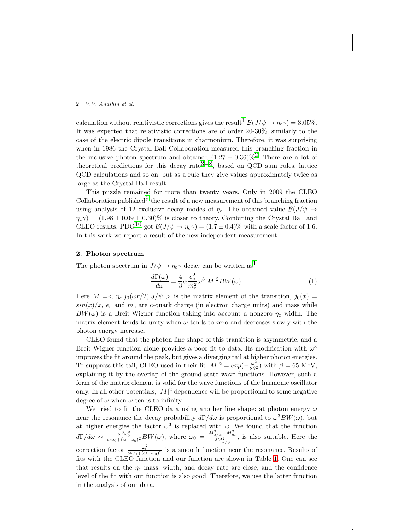#### 2 *V.V. Anashin et al.*

calculation without relativistic corrections gives the result  $\mathcal{B}(J/\psi \to \eta_c \gamma) = 3.05\%$ . It was expected that relativistic corrections are of order 20-30%, similarly to the case of the electric dipole transitions in charmonium. Therefore, it was surprising when in 1986 the Crystal Ball Collaboration measured this branching fraction in the inclusive photon spectrum and obtained  $(1.27 \pm 0.36)\%$ <sup>2</sup>. There are a lot of theoretical predictions for this decay rate<sup>[3](#page-4-2)−8</sup>, based on QCD sum rules, lattice QCD calculations and so on, but as a rule they give values approximately twice as large as the Crystal Ball result.

This puzzle remained for more than twenty years. Only in 2009 the CLEO Collaboration published $^{9}$  the result of a new measurement of this branching fraction using analysis of 12 exclusive decay modes of  $\eta_c$ . The obtained value  $\mathcal{B}(J/\psi \rightarrow$  $\eta_c\gamma$  =  $(1.98 \pm 0.09 \pm 0.30)\%$  is closer to theory. Combining the Crystal Ball and CLEO results, PDG<sup>10</sup> got  $\mathcal{B}(J/\psi \to \eta_c \gamma) = (1.7 \pm 0.4)\%$  with a scale factor of 1.6. In this work we report a result of the new independent measurement.

## 2. Photon spectrum

The photon spectrum in  $J/\psi \rightarrow \eta_c \gamma$  decay can be written as<sup>[1](#page-4-0)</sup>

$$
\frac{d\Gamma(\omega)}{d\omega} = \frac{4}{3}\alpha \frac{e_c^2}{m_c^2}\omega^3 |M|^2 BW(\omega).
$$
 (1)

Here  $M = \langle \eta_c | j_0(\omega r/2) | J/\psi \rangle$  is the matrix element of the transition,  $j_0(x)$  $sin(x)/x$ ,  $e_c$  and  $m_c$  are c-quark charge (in electron charge units) and mass while  $BW(\omega)$  is a Breit-Wigner function taking into account a nonzero  $\eta_c$  width. The matrix element tends to unity when  $\omega$  tends to zero and decreases slowly with the photon energy increase.

CLEO found that the photon line shape of this transition is asymmetric, and a Breit-Wigner function alone provides a poor fit to data. Its modification with  $\omega^3$ improves the fit around the peak, but gives a diverging tail at higher photon energies. To suppress this tail, CLEO used in their fit  $|M|^2 = exp(-\frac{\omega^2}{8\beta^2})$  with  $\beta = 65$  MeV, explaining it by the overlap of the ground state wave functions. However, such a form of the matrix element is valid for the wave functions of the harmonic oscillator only. In all other potentials,  $|M|^2$  dependence will be proportional to some negative degree of  $\omega$  when  $\omega$  tends to infinity.

We tried to fit the CLEO data using another line shape: at photon energy  $\omega$ near the resonance the decay probability  $d\Gamma/d\omega$  is proportional to  $\omega^3BW(\omega)$ , but at higher energies the factor  $\omega^3$  is replaced with  $\omega$ . We found that the function  $d\Gamma/d\omega \sim \frac{\omega^3 \omega_0^2}{\omega \omega_0 + (\omega - \omega_0)^2}BW(\omega)$ , where  $\omega_0 = \frac{M_{J/\psi}^2 - M_{\eta_c}^2}{2M_{J/\psi}^2}$ , is also suitable. Here the correction factor  $\frac{\omega_0^2}{\omega \omega_0 + (\omega - \omega_0)^2}$  is a smooth function near the resonance. Results of fits with the CLEO function and our function are shown in Table [1.](#page-2-0) One can see that results on the  $\eta_c$  mass, width, and decay rate are close, and the confidence level of the fit with our function is also good. Therefore, we use the latter function in the analysis of our data.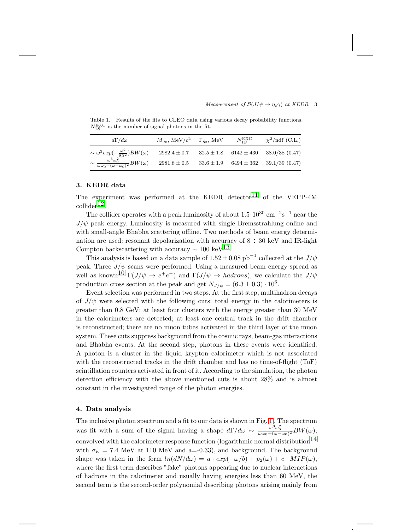#### *Measurement of*  $\mathcal{B}(J/\psi \to \eta_c \gamma)$  *at KEDR* 3

<span id="page-2-0"></span>Table 1. Results of the fits to CLEO data using various decay probability functions.  $N_{1S}^{\text{EXC}}$  is the number of signal photons in the fit.

| $d\Gamma/d\omega$                                                                                                                                 | $M_{nc}$ , MeV/ $c^2$ $\Gamma_{nc}$ , MeV | $N_{1S}^{\rm EXC}$ | $\chi^2/\text{ndf}$ (C.L.)                     |
|---------------------------------------------------------------------------------------------------------------------------------------------------|-------------------------------------------|--------------------|------------------------------------------------|
|                                                                                                                                                   | $2982.4 \pm 0.7$                          |                    | $32.5 \pm 1.8$ 6142 $\pm$ 430 38.0/38 (0.47)   |
| $\sim \omega^3 exp(-\frac{\omega^2}{8\beta^2})BW(\omega)$<br>$\sim \frac{\omega^3 \omega_0^2}{\omega \omega_0 + (\omega - \omega_0)^2}BW(\omega)$ | $2981.8\pm0.5$                            |                    | $33.6 \pm 1.9$ $6494 \pm 362$ $39.1/39$ (0.47) |

### 3. KEDR data

The experiment was performed at the KEDR detector  $11$  of the VEPP-4M collider[12.](#page-5-4)

The collider operates with a peak luminosity of about  $1.5 \cdot 10^{30}$  cm<sup>-2</sup>s<sup>-1</sup> near the  $J/\psi$  peak energy. Luminosity is measured with single Bremsstrahlung online and with small-angle Bhabha scattering offline. Two methods of beam energy determination are used: resonant depolarization with accuracy of  $8 \div 30$  keV and IR-light Compton backscattering with accuracy  $\sim 100 \text{ keV}^{13}$ .

This analysis is based on a data sample of  $1.52 \pm 0.08$  pb<sup>-1</sup> collected at the  $J/\psi$ peak. Three  $J/\psi$  scans were performed. Using a measured beam energy spread as well as known<sup>10</sup>  $\Gamma(J/\psi \to e^+e^-)$  and  $\Gamma(J/\psi \to hadrons)$ , we calculate the  $J/\psi$ production cross section at the peak and get  $N_{J/\psi} = (6.3 \pm 0.3) \cdot 10^6$ .

Event selection was performed in two steps. At the first step, multihadron decays of  $J/\psi$  were selected with the following cuts: total energy in the calorimeters is greater than 0.8 GeV; at least four clusters with the energy greater than 30 MeV in the calorimeters are detected; at least one central track in the drift chamber is reconstructed; there are no muon tubes activated in the third layer of the muon system. These cuts suppress background from the cosmic rays, beam-gas interactions and Bhabha events. At the second step, photons in these events were identified. A photon is a cluster in the liquid krypton calorimeter which is not associated with the reconstructed tracks in the drift chamber and has no time-of-flight (ToF) scintillation counters activated in front of it. According to the simulation, the photon detection efficiency with the above mentioned cuts is about 28% and is almost constant in the investigated range of the photon energies.

#### 4. Data analysis

The inclusive photon spectrum and a fit to our data is shown in Fig. [1](#page-3-0) . The spectrum was fit with a sum of the signal having a shape  $d\Gamma/d\omega \sim \frac{\omega^3 \omega_0^2}{\omega \omega_0 + (\omega - \omega_0)^2} BW(\omega)$ , convolved with the calorimeter response function (logarithmic normal distribution<sup>14</sup> with  $\sigma_E = 7.4$  MeV at 110 MeV and a=-0.33), and background. The background shape was taken in the form  $ln(dN/d\omega) = a \cdot exp(-\omega/b) + p_2(\omega) + c \cdot MIP(\omega)$ , where the first term describes "fake" photons appearing due to nuclear interactions of hadrons in the calorimeter and usually having energies less than 60 MeV, the second term is the second-order polynomial describing photons arising mainly from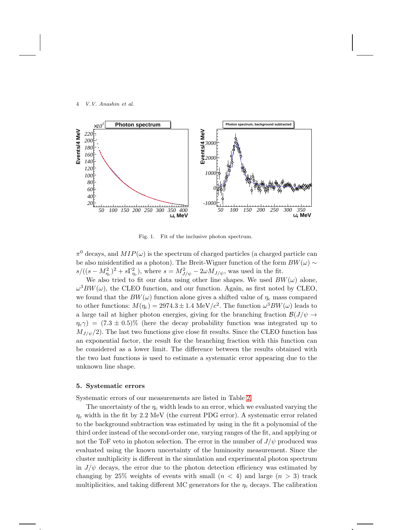#### 4 *V.V. Anashin et al.*



<span id="page-3-0"></span>Fig. 1. Fit of the inclusive photon spectrum.

 $\pi^0$  decays, and  $MIP(\omega)$  is the spectrum of charged particles (a charged particle can be also misidentified as a photon). The Breit-Wigner function of the form  $BW(\omega) \sim$  $s/((s-M_{\eta_c}^2)^2+s\Gamma_{\eta_c}^2)$ , where  $s=M_{J/\psi}^2-2\omega M_{J/\psi}$ , was used in the fit.

We also tried to fit our data using other line shapes. We used  $BW(\omega)$  alone,  $\omega^3 BW(\omega)$ , the CLEO function, and our function. Again, as first noted by CLEO, we found that the  $BW(\omega)$  function alone gives a shifted value of  $\eta_c$  mass compared to other functions:  $M(\eta_c) = 2974.3 \pm 1.4 \text{ MeV}/c^2$ . The function  $\omega^3 BW(\omega)$  leads to a large tail at higher photon energies, giving for the branching fraction  $\mathcal{B}(J/\psi \to$  $\eta_c \gamma$ ) = (7.3 ± 0.5)% (here the decay probability function was integrated up to  $M_{J/\psi}/2$ ). The last two functions give close fit results. Since the CLEO function has an exponential factor, the result for the branching fraction with this function can be considered as a lower limit. The difference between the results obtained with the two last functions is used to estimate a systematic error appearing due to the unknown line shape.

# 5. Systematic errors

Systematic errors of our measurements are listed in Table [2.](#page-4-3)

The uncertainty of the  $\eta_c$  width leads to an error, which we evaluated varying the  $\eta_c$  width in the fit by 2.2 MeV (the current PDG error). A systematic error related to the background subtraction was estimated by using in the fit a polynomial of the third order instead of the second-order one, varying ranges of the fit, and applying or not the ToF veto in photon selection. The error in the number of  $J/\psi$  produced was evaluated using the known uncertainty of the luminosity measurement. Since the cluster multiplicity is different in the simulation and experimental photon spectrum in  $J/\psi$  decays, the error due to the photon detection efficiency was estimated by changing by 25% weights of events with small  $(n < 4)$  and large  $(n > 3)$  track multiplicities, and taking different MC generators for the  $\eta_c$  decays. The calibration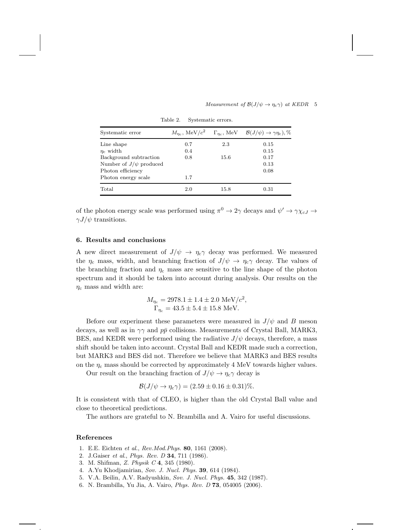| Measurement of $\mathcal{B}(J/\psi \to \eta_c \gamma)$ at KEDR 5 |  |  |  |  |  |  |
|------------------------------------------------------------------|--|--|--|--|--|--|
|------------------------------------------------------------------|--|--|--|--|--|--|

| Systematic error            | $M_{\eta_c}$ , MeV/ $c^2$ |      | $\Gamma_{\eta_c}$ , MeV $\mathcal{B}(J/\psi) \to \gamma \eta_c$ ), % |
|-----------------------------|---------------------------|------|----------------------------------------------------------------------|
| Line shape                  | 0.7                       | 2.3  | 0.15                                                                 |
| $\eta_c$ width              | 0.4                       |      | 0.15                                                                 |
| Background subtraction      | 0.8                       | 15.6 | 0.17                                                                 |
| Number of $J/\psi$ produced |                           |      | 0.13                                                                 |
| Photon efficiency           |                           |      | 0.08                                                                 |
| Photon energy scale         | 1.7                       |      |                                                                      |
| Total                       | 2.0                       | 15.8 | 0.31                                                                 |

<span id="page-4-3"></span>Table 2. Systematic errors.

of the photon energy scale was performed using  $\pi^0 \to 2\gamma$  decays and  $\psi' \to \gamma \chi_{cJ} \to$  $\gamma J/\psi$  transitions.

## 6. Results and conclusions

A new direct measurement of  $J/\psi \to \eta_c \gamma$  decay was performed. We measured the  $\eta_c$  mass, width, and branching fraction of  $J/\psi \to \eta_c \gamma$  decay. The values of the branching fraction and  $\eta_c$  mass are sensitive to the line shape of the photon spectrum and it should be taken into account during analysis. Our results on the  $\eta_c$  mass and width are:

> $M_{\eta_c} = 2978.1 \pm 1.4 \pm 2.0 \text{ MeV}/c^2,$  $\Gamma_{\eta_{\rm c}} = 43.5 \pm 5.4 \pm 15.8 \,\, \mathrm{MeV}.$

Before our experiment these parameters were measured in  $J/\psi$  and B meson decays, as well as in  $\gamma\gamma$  and  $p\bar{p}$  collisions. Measurements of Crystal Ball, MARK3, BES, and KEDR were performed using the radiative  $J/\psi$  decays, therefore, a mass shift should be taken into account. Crystal Ball and KEDR made such a correction, but MARK3 and BES did not. Therefore we believe that MARK3 and BES results on the  $\eta_c$  mass should be corrected by approximately 4 MeV towards higher values.

Our result on the branching fraction of  $J/\psi \rightarrow \eta_c \gamma$  decay is

$$
\mathcal{B}(J/\psi \to \eta_{\rm c}\gamma) = (2.59 \pm 0.16 \pm 0.31)\%.
$$

It is consistent with that of CLEO, is higher than the old Crystal Ball value and close to theoretical predictions.

The authors are grateful to N. Brambilla and A. Vairo for useful discussions.

# <span id="page-4-0"></span>References

- <span id="page-4-1"></span>1. E.E. Eichten et al., Rev.Mod.Phys. 80, 1161 (2008).
- <span id="page-4-2"></span>2. J.Gaiser et al., Phys. Rev. D 34, 711 (1986).
- 3. M. Shifman, Z. Physik C 4, 345 (1980).
- 4. A.Yu Khodjamirian, Sov. J. Nucl. Phys. 39, 614 (1984).
- 5. V.A. Beilin, A.V. Radyushkin, Sov. J. Nucl. Phys. 45, 342 (1987).
- 6. N. Brambilla, Yu Jia, A. Vairo, Phys. Rev. D 73, 054005 (2006).